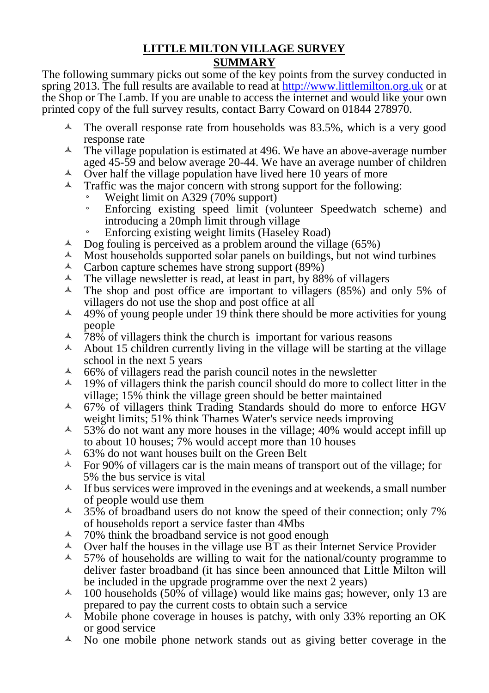## **LITTLE MILTON VILLAGE SURVEY SUMMARY**

The following summary picks out some of the key points from the survey conducted in spring 2013. The full results are available to read at [http://www.littlemilton.org.uk](http://www.littlemilton.org.uk/) or at the Shop or The Lamb. If you are unable to access the internet and would like your own printed copy of the full survey results, contact Barry Coward on 01844 278970.

- $\sim$  The overall response rate from households was 83.5%, which is a very good response rate
- $\sim$  The village population is estimated at 496. We have an above-average number aged 45-59 and below average 20-44. We have an average number of children
- $\overrightarrow{A}$  Over half the village population have lived here 10 years of more
- Traffic was the major concern with strong support for the following:
	- Weight limit on A329 (70% support)
	- Enforcing existing speed limit (volunteer Speedwatch scheme) and introducing a 20mph limit through village
	- Enforcing existing weight limits (Haseley Road)
- $\overline{A}$  Dog fouling is perceived as a problem around the village (65%)
- Most households supported solar panels on buildings, but not wind turbines
- A Carbon capture schemes have strong support  $(89\%)$ <br>A The village newsletter is read, at least in part, by 88
- $\overline{A}$  The village newsletter is read, at least in part, by 88% of villagers (85%) and
- The shop and post office are important to villagers (85%) and only 5% of villagers do not use the shop and post office at all
- $\sim$  49% of young people under 19 think there should be more activities for young people
- $\lambda$  78% of villagers think the church is important for various reasons
- A About 15 children currently living in the village will be starting at the village school in the next 5 years
- $\frac{\lambda}{100}$  66% of villagers read the parish council notes in the newsletter
- 19% of villagers think the parish council should do more to collect litter in the village; 15% think the village green should be better maintained
- $\sim$  67% of villagers think Trading Standards should do more to enforce HGV weight limits; 51% think Thames Water's service needs improving
- $\sim$  53% do not want any more houses in the village; 40% would accept infill up to about 10 houses; 7% would accept more than 10 houses
- $\sim$  63% do not want houses built on the Green Belt
- $\sim$  For 90% of villagers car is the main means of transport out of the village; for 5% the bus service is vital
- $\uparrow$  If bus services were improved in the evenings and at weekends, a small number of people would use them
- $\sim$  35% of broadband users do not know the speed of their connection; only 7% of households report a service faster than 4Mbs
- $\sim$  70% think the broadband service is not good enough
- $\triangle$  Over half the houses in the village use  $\overline{BT}$  as their Internet Service Provider
- $\sim$  57% of households are willing to wait for the national/county programme to deliver faster broadband (it has since been announced that Little Milton will be included in the upgrade programme over the next 2 years)
- $\lambda$  100 households (50% of village) would like mains gas; however, only 13 are prepared to pay the current costs to obtain such a service
- $\blacktriangle$  Mobile phone coverage in houses is patchy, with only 33% reporting an OK or good service
- $\triangle$  No one mobile phone network stands out as giving better coverage in the